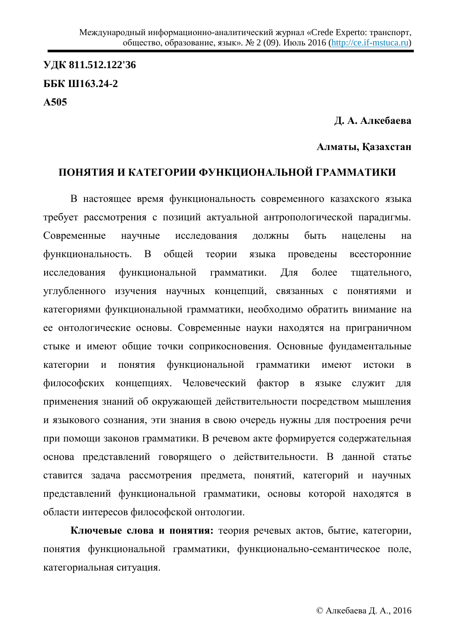**ɍȾɄ 811.512.122'36 ȻȻɄ Ш163.24-2 Ⱥ505**

**Д. А. Алкебаева** 

### Алматы, Қазахстан

# ПОНЯТИЯ И КАТЕГОРИИ ФУНКЦИОНАЛЬНОЙ ГРАММАТИКИ

В настоящее время функциональность современного казахского языка требует рассмотрения с позиций актуальной антропологической парадигмы. Современные научные исследования должны быть нацелены на функциональность. В общей теории языка проведены всесторонние исследования функциональной грамматики. Для более тщательного, углубленного изучения научных концепций, связанных с понятиями и категориями функциональной грамматики, необходимо обратить внимание на ее онтологические основы. Современные науки находятся на приграничном стыке и имеют общие точки соприкосновения. Основные фундаментальные категории и понятия функциональной грамматики имеют истоки в философских концепциях. Человеческий фактор в языке служит для применения знаний об окружающей действительности посредством мышления и языкового сознания, эти знания в свою очередь нужны для построения речи при помощи законов грамматики. В речевом акте формируется содержательная основа представлений говорящего о действительности. В данной статье ставится задача рассмотрения предмета, понятий, категорий и научных представлений функциональной грамматики, основы которой находятся в области интересов философской онтологии.

**Ключевые слова и понятия:** теория речевых актов, бытие, категории, понятия функциональной грамматики, функционально-семантическое поле, категориальная ситуация.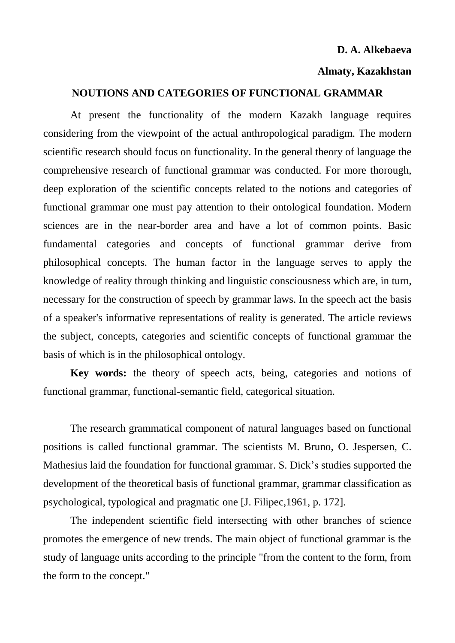#### **D. A. Alkebaeva**

### **Almaty, Kazakhstan**

#### **NOUTIONS AND CATEGORIES OF FUNCTIONAL GRAMMAR**

At present the functionality of the modern Kazakh language requires considering from the viewpoint of the actual anthropological paradigm. The modern scientific research should focus on functionality. In the general theory of language the comprehensive research of functional grammar was conducted. For more thorough, deep exploration of the scientific concepts related to the notions and categories of functional grammar one must pay attention to their ontological foundation. Modern sciences are in the near-border area and have a lot of common points. Basic fundamental categories and concepts of functional grammar derive from philosophical concepts. The human factor in the language serves to apply the knowledge of reality through thinking and linguistic consciousness which are, in turn, necessary for the construction of speech by grammar laws. In the speech act the basis of a speaker's informative representations of reality is generated. The article reviews the subject, concepts, categories and scientific concepts of functional grammar the basis of which is in the philosophical ontology.

**Key words:** the theory of speech acts, being, categories and notions of functional grammar, functional-semantic field, categorical situation.

The research grammatical component of natural languages based on functional positions is called functional grammar. The scientists M. Bruno, O. Jespersen, C. Mathesius laid the foundation for functional grammar. S. Dick's studies supported the development of the theoretical basis of functional grammar, grammar classification as psychological, typological and pragmatic one [J. Filipec,1961, p. 172].

The independent scientific field intersecting with other branches of science promotes the emergence of new trends. The main object of functional grammar is the study of language units according to the principle "from the content to the form, from the form to the concept."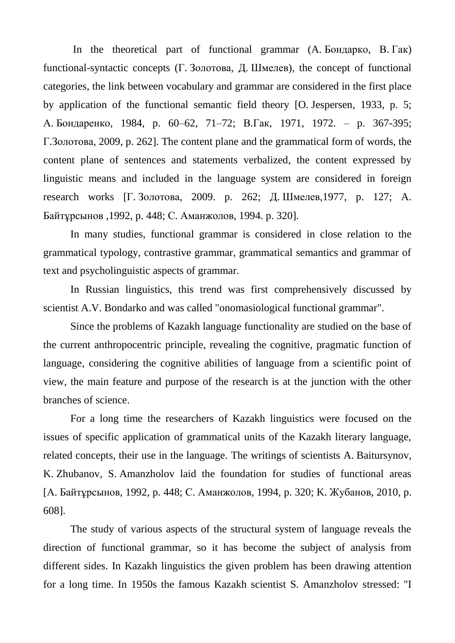In the theoretical part of functional grammar  $(A, B)$ <sub>Q</sub>iquarko, B.  $\Gamma$ ak) functional-syntactic concepts  $(\Gamma, 3)$ <sub>0</sub> $\pi$ <sub>3</sub> $\pi$ ,  $\pi$ <sub>1</sub>. III<sub>Me</sub> $\pi$ <sub>B</sub><sub>2</sub>), the concept of functional categories, the link between vocabulary and grammar are considered in the first place by application of the functional semantic field theory [O. Jespersen, 1933, p. 5; А. Бондаренко, 1984, р. 60–62, 71–72; В.Гак, 1971, 1972. – р. 367-395;  $\Gamma$ . Золотова, 2009, p. 262]. The content plane and the grammatical form of words, the content plane of sentences and statements verbalized, the content expressed by linguistic means and included in the language system are considered in foreign research works  $[\Gamma, 30]$ <sub>10</sub> торяа, 2009. p. 262; Д. Шмелев, 1977, p. 127; А. Байтұрсынов ,1992, р. 448; С. Аманжолов, 1994. р. 320].

In many studies, functional grammar is considered in close relation to the grammatical typology, contrastive grammar, grammatical semantics and grammar of text and psycholinguistic aspects of grammar.

In Russian linguistics, this trend was first comprehensively discussed by scientist A.V. Bondarko and was called "onomasiological functional grammar".

Since the problems of Kazakh language functionality are studied on the base of the current anthropocentric principle, revealing the cognitive, pragmatic function of language, considering the cognitive abilities of language from a scientific point of view, the main feature and purpose of the research is at the junction with the other branches of science.

For a long time the researchers of Kazakh linguistics were focused on the issues of specific application of grammatical units of the Kazakh literary language, related concepts, their use in the language. The writings of scientists A. Baitursynov, K. Zhubanov, S. Amanzholov laid the foundation for studies of functional areas [А. Байтұрсынов, 1992, р. 448; С. Аманжолов, 1994, р. 320; К. Жубанов, 2010, р. 608].

The study of various aspects of the structural system of language reveals the direction of functional grammar, so it has become the subject of analysis from different sides. In Kazakh linguistics the given problem has been drawing attention for a long time. In 1950s the famous Kazakh scientist S. Amanzholov stressed: "I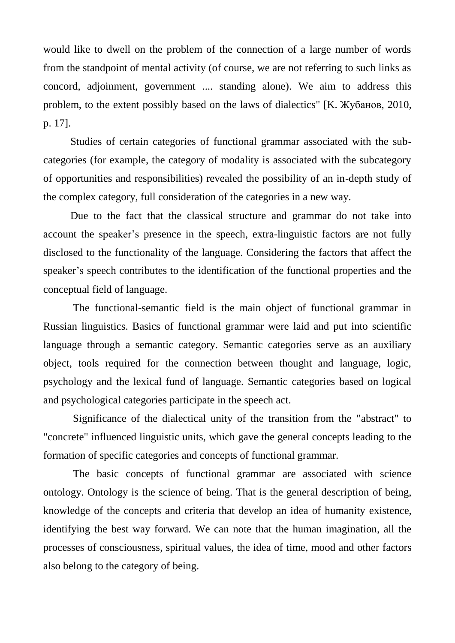would like to dwell on the problem of the connection of a large number of words from the standpoint of mental activity (of course, we are not referring to such links as concord, adjoinment, government .... standing alone). We aim to address this problem, to the extent possibly based on the laws of dialectics" [К. Жубанов, 2010, p. 17].

Studies of certain categories of functional grammar associated with the subcategories (for example, the category of modality is associated with the subcategory of opportunities and responsibilities) revealed the possibility of an in-depth study of the complex category, full consideration of the categories in a new way.

Due to the fact that the classical structure and grammar do not take into account the speaker's presence in the speech, extra-linguistic factors are not fully disclosed to the functionality of the language. Considering the factors that affect the speaker's speech contributes to the identification of the functional properties and the conceptual field of language.

 The functional-semantic field is the main object of functional grammar in Russian linguistics. Basics of functional grammar were laid and put into scientific language through a semantic category. Semantic categories serve as an auxiliary object, tools required for the connection between thought and language, logic, psychology and the lexical fund of language. Semantic categories based on logical and psychological categories participate in the speech act.

 Significance of the dialectical unity of the transition from the "abstract" to "concrete" influenced linguistic units, which gave the general concepts leading to the formation of specific categories and concepts of functional grammar.

 The basic concepts of functional grammar are associated with science ontology. Ontology is the science of being. That is the general description of being, knowledge of the concepts and criteria that develop an idea of humanity existence, identifying the best way forward. We can note that the human imagination, all the processes of consciousness, spiritual values, the idea of time, mood and other factors also belong to the category of being.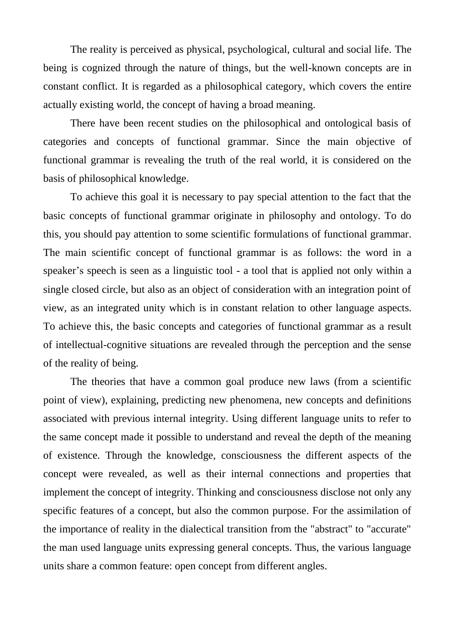The reality is perceived as physical, psychological, cultural and social life. The being is cognized through the nature of things, but the well-known concepts are in constant conflict. It is regarded as a philosophical category, which covers the entire actually existing world, the concept of having a broad meaning.

There have been recent studies on the philosophical and ontological basis of categories and concepts of functional grammar. Since the main objective of functional grammar is revealing the truth of the real world, it is considered on the basis of philosophical knowledge.

To achieve this goal it is necessary to pay special attention to the fact that the basic concepts of functional grammar originate in philosophy and ontology. To do this, you should pay attention to some scientific formulations of functional grammar. The main scientific concept of functional grammar is as follows: the word in a speaker's speech is seen as a linguistic tool - a tool that is applied not only within a single closed circle, but also as an object of consideration with an integration point of view, as an integrated unity which is in constant relation to other language aspects. To achieve this, the basic concepts and categories of functional grammar as a result of intellectual-cognitive situations are revealed through the perception and the sense of the reality of being.

The theories that have a common goal produce new laws (from a scientific point of view), explaining, predicting new phenomena, new concepts and definitions associated with previous internal integrity. Using different language units to refer to the same concept made it possible to understand and reveal the depth of the meaning of existence. Through the knowledge, consciousness the different aspects of the concept were revealed, as well as their internal connections and properties that implement the concept of integrity. Thinking and consciousness disclose not only any specific features of a concept, but also the common purpose. For the assimilation of the importance of reality in the dialectical transition from the "abstract" to "accurate" the man used language units expressing general concepts. Thus, the various language units share a common feature: open concept from different angles.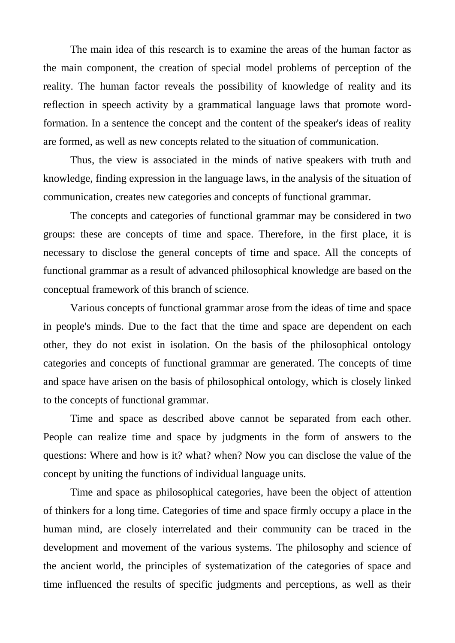The main idea of this research is to examine the areas of the human factor as the main component, the creation of special model problems of perception of the reality. The human factor reveals the possibility of knowledge of reality and its reflection in speech activity by a grammatical language laws that promote wordformation. In a sentence the concept and the content of the speaker's ideas of reality are formed, as well as new concepts related to the situation of communication.

Thus, the view is associated in the minds of native speakers with truth and knowledge, finding expression in the language laws, in the analysis of the situation of communication, creates new categories and concepts of functional grammar.

The concepts and categories of functional grammar may be considered in two groups: these are concepts of time and space. Therefore, in the first place, it is necessary to disclose the general concepts of time and space. All the concepts of functional grammar as a result of advanced philosophical knowledge are based on the conceptual framework of this branch of science.

Various concepts of functional grammar arose from the ideas of time and space in people's minds. Due to the fact that the time and space are dependent on each other, they do not exist in isolation. On the basis of the philosophical ontology categories and concepts of functional grammar are generated. The concepts of time and space have arisen on the basis of philosophical ontology, which is closely linked to the concepts of functional grammar.

Time and space as described above cannot be separated from each other. People can realize time and space by judgments in the form of answers to the questions: Where and how is it? what? when? Now you can disclose the value of the concept by uniting the functions of individual language units.

Time and space as philosophical categories, have been the object of attention of thinkers for a long time. Categories of time and space firmly occupy a place in the human mind, are closely interrelated and their community can be traced in the development and movement of the various systems. The philosophy and science of the ancient world, the principles of systematization of the categories of space and time influenced the results of specific judgments and perceptions, as well as their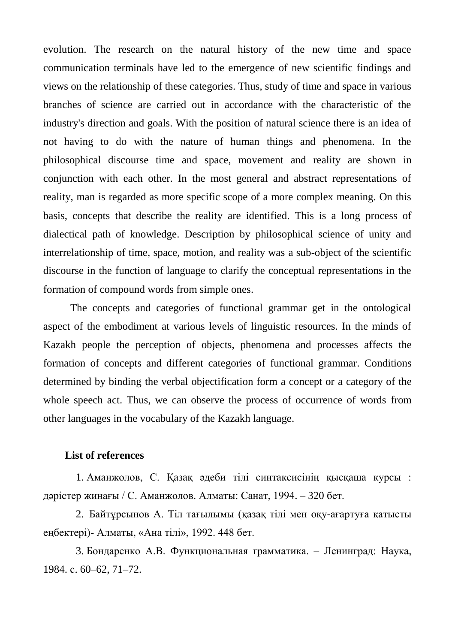evolution. The research on the natural history of the new time and space communication terminals have led to the emergence of new scientific findings and views on the relationship of these categories. Thus, study of time and space in various branches of science are carried out in accordance with the characteristic of the industry's direction and goals. With the position of natural science there is an idea of not having to do with the nature of human things and phenomena. In the philosophical discourse time and space, movement and reality are shown in conjunction with each other. In the most general and abstract representations of reality, man is regarded as more specific scope of a more complex meaning. On this basis, concepts that describe the reality are identified. This is a long process of dialectical path of knowledge. Description by philosophical science of unity and interrelationship of time, space, motion, and reality was a sub-object of the scientific discourse in the function of language to clarify the conceptual representations in the formation of compound words from simple ones.

The concepts and categories of functional grammar get in the ontological aspect of the embodiment at various levels of linguistic resources. In the minds of Kazakh people the perception of objects, phenomena and processes affects the formation of concepts and different categories of functional grammar. Conditions determined by binding the verbal objectification form a concept or a category of the whole speech act. Thus, we can observe the process of occurrence of words from other languages in the vocabulary of the Kazakh language.

## **List of references**

1. Аманжолов, С. Қазақ әдеби тілі синтаксисінің қысқаша курсы: дәрістер жинағы / С. Аманжолов. Алматы: Санат, 1994. – 320 бет.

2. Байтұрсынов А. Тіл тағылымы (қазақ тілі мен оқу-ағартуға қатысты еңбектері)- Алматы, «Ана тілі», 1992. 448 бет.

3. Бондаренко А.В. Функциональная грамматика. – Ленинград: Наука, 1984. c. 60–62, 71–72.